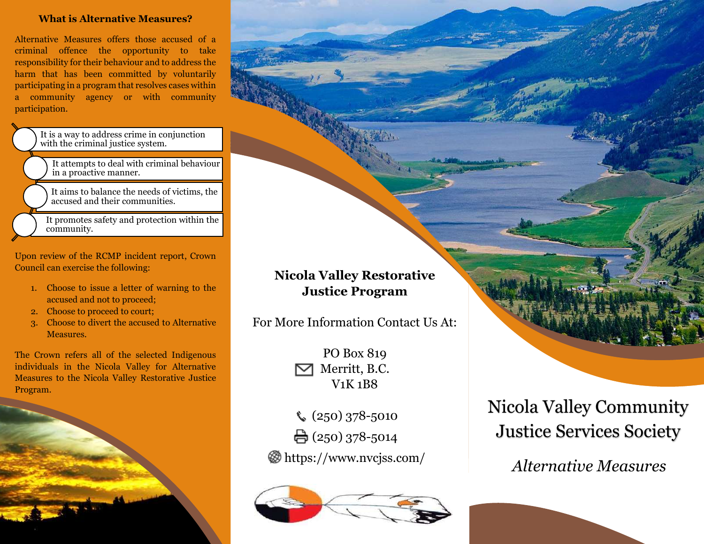# **What is Alternative Measures?**

Alternative Measures offers those accused of a criminal offence the opportunity to take responsibility for their behaviour and to address the harm that has been committed by voluntarily participating in a program that resolves cases within a community agency or with community participation.

> It is a way to address crime in conjunction with the criminal justice system.

It attempts to deal with criminal behaviour in a proactive manner.

It aims to balance the needs of victims, the accused and their communities.

It promotes safety and protection within the community.

Upon review of the RCMP incident report, Crown Council can exercise the following:

- 1. Choose to issue a letter of warning to the accused and not to proceed;
- 2. Choose to proceed to court;
- 3. Choose to divert the accused to Alternative Measures.

The Crown refers all of the selected Indigenous individuals in the Nicola Valley for Alternative Measures to the Nicola Valley Restorative Justice Program.



# **Nicola Valley Restorative Justice Program**

For More Information Contact Us At:

PO Box 819 Merritt, B.C. V1K 1B8

 $\binom{250}{378}$ -5010  $\bigoplus$  (250) 378-5014

https://www.nvcjss.com/



Nicola Valley Community Justice Services Society

*Alternative Measures*